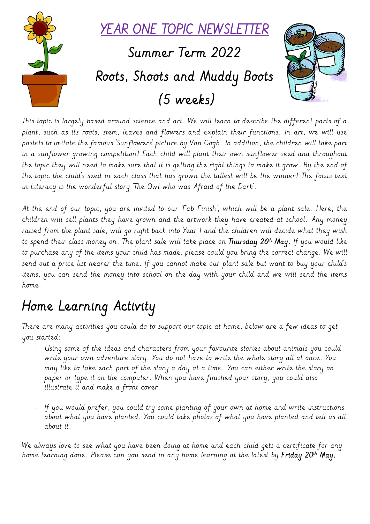

This topic is largely based around science and art. We will learn to describe the different parts of a plant, such as its roots, stem, leaves and flowers and explain their functions. In art, we will use pastels to imitate the famous 'Sunflowers' picture by Van Gogh. In addition, the children will take part in a sunflower growing competition! Each child will plant their own sunflower seed and throughout the topic they will need to make sure that it is getting the right things to make it grow. By the end of the topic the child's seed in each class that has grown the tallest will be the winner! The focus text in Literacy is the wonderful story 'The Owl who was Afraid of the Dark'.

At the end of our topic, you are invited to our 'Fab Finish', which will be a plant sale. Here, the children will sell plants they have grown and the artwork they have created at school. Any money raised from the plant sale, will go right back into Year 1 and the children will decide what they wish to spend their class money on. The plant sale will take place on **Thursday 26<sup>th</sup> May**. If you would like to purchase any of the items your child has made, please could you bring the correct change. We will send out a price list nearer the time. If you cannot make our plant sale but want to buy your child's items, you can send the money into school on the day with your child and we will send the items home.

# Home Learning Activity

There are many activities you could do to support our topic at home, below are a few ideas to get you started:

- Using some of the ideas and characters from your favourite stories about animals you could write your own adventure story. You do not have to write the whole story all at once. You may like to take each part of the story a day at a time. You can either write the story on paper or type it on the computer. When you have finished your story, you could also illustrate it and make a front cover.
- If you would prefer, you could try some planting of your own at home and write instructions about what you have planted. You could take photos of what you have planted and tell us all about it.

We always love to see what you have been doing at home and each child gets a certificate for any home learning done. Please can you send in any home learning at the latest by **Friday 20<sup>th</sup> May.**